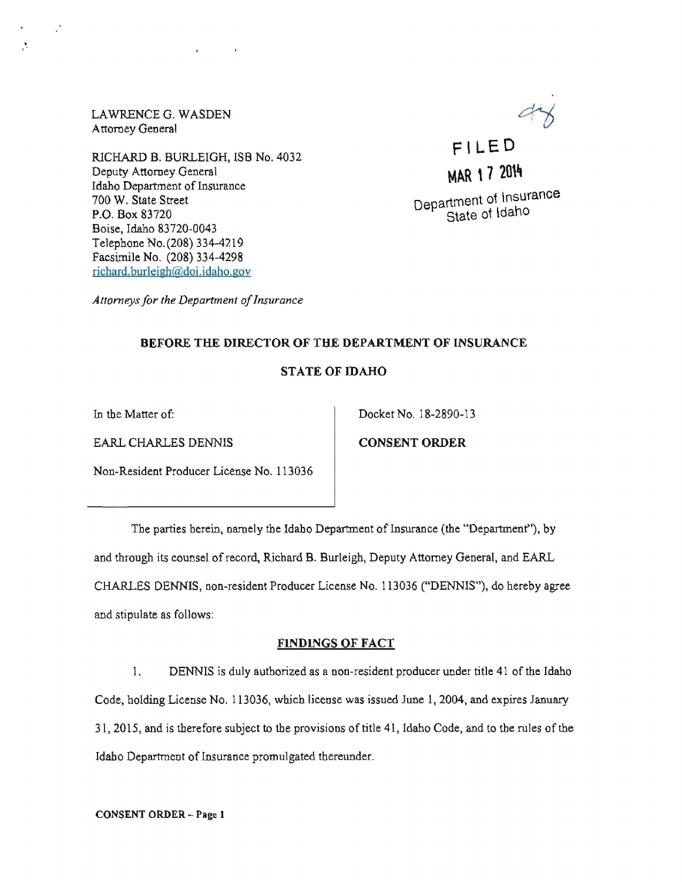LAWRENCE G. WASDEN Attorney General

 $\mathbf{v}$ 

RICHARD B. BURLEIGH, ISB No. 4032 Deputy Attorney General Idaho Department of Insurance 700 W. State Street P.O. Box 83720 Boise, Idaho 83720-0043 Telephone No.(208) 334-4219 Facsimile No. (208) 334-4298 richard. burleigh@doi.idaho.goy



**MAR 17 2014** Department ot Insurance State ot Idaho

Attorneys for the Department of Insurance

## BEFORE THE DIRECTOR OF THE DEPARTMENT OF INSURANCE

## STATE OF IDAHO

EARL CHARLES DENNIS CONSENT ORDER

In the Matter of: Docket No. 18-2890-13

Non-Resident Producer License No. 113036

The parties herein, namely the Idaho Department of Insurance (the "Department"), by and through its counsel of record, Richard B. Burleigh, Deputy Attorney General, and EARL CHARLES DENNIS, non-resident Producer License No. 113036 ("DENNIS"), do hereby agree and stipulate as follows:

## FINDINGS OF FACT

1. DENNIS is duly authorized as a non-resident producer under title 41 of the Idaho Code, holding License No. 113036, which license was issued June 1,2004, and expires January 31,2015, and is therefore subject to the provisions of title 41, Idaho Code, and to the rules of the Idaho Department of Insurance promulgated thereunder.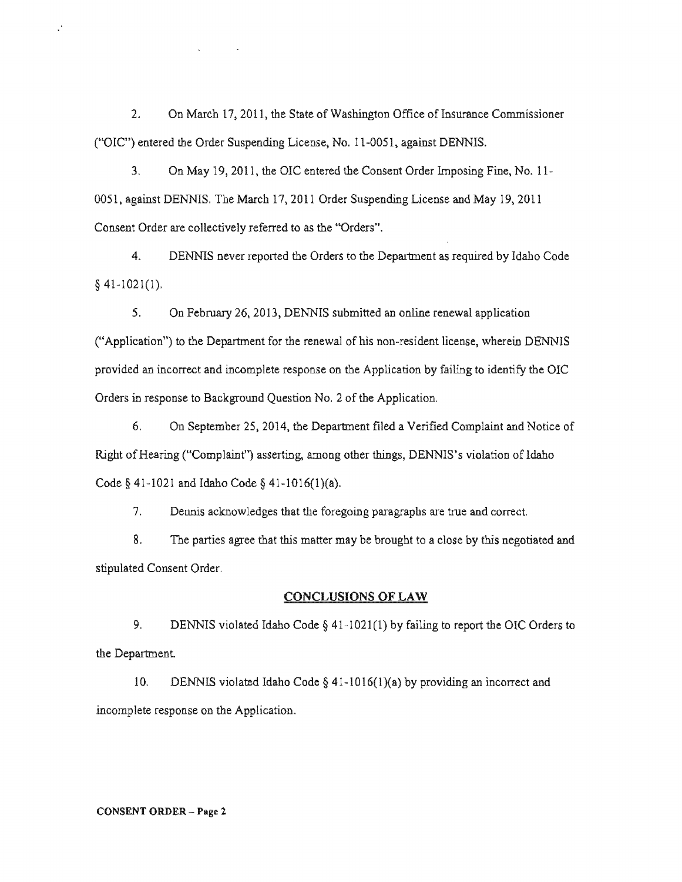2. On March 17,2011, the State of Washington Office of Insurance Commissioner ("OIC") entered the Order Suspending License, No. 11-0051, against DENNIS.

3. On May 19,2011, the OlC entered the Consent Order Imposing Fine, No. 11- 0051, against DENNlS. The March 17,2011 Order Suspending License and May 19,2011 Consent Order are collectively referred to as the "Orders".

4. DENNlS never reported the Orders to the Department as required by Idaho Code  $§$  41-1021(1).

5. On February 26,2013, DENNIS submitted an online renewal application ("Application") to the Department for the renewal of his non-resident license, wherein DENNIS provided an incorrect and incomplete response on the Application by failing to identify the OIC Orders in response to Background Question No.2 of the Application.

6. On September 25, 2014, the Department filed a Verified Complaint and Notice of Right of Hearing ("Complaint") asserting, among other things, DENNlS's violation of Idaho Code  $§$  41-1021 and Idaho Code  $§$  41-1016(1)(a).

7. Dennis acknowledges that the foregoing paragraphs are true and correct.

8. The parties agree that this matter may be brought to a close by this negotiated and stipulated Consent Order.

#### CONCLUSIONS OF LAW

9. DENNIS violated Idaho Code § 41-1021(1) by failing to report the OIC Orders to the Department.

10. DENNIS violated Idaho Code § 41-1016(1)(a) by providing an incorrect and incomplete response on the Application.

#### CONSENT ORDER - Page 2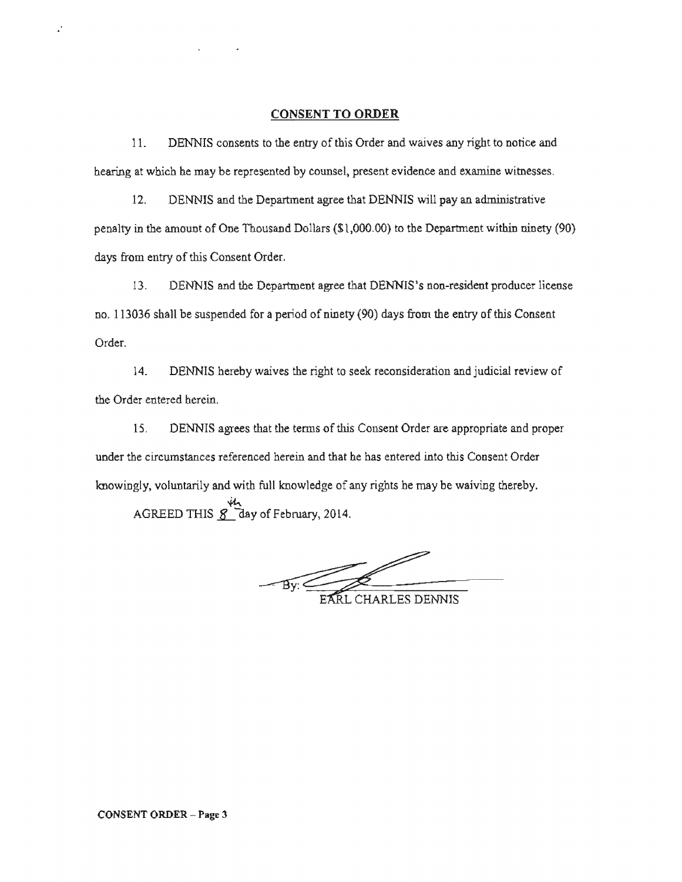#### **CONSENT TO ORDER**

11. DENNIS consents to the entry of this Order and waives any right to notice and hearing at which he may be represented by counsel, present evidence and examine witnesses.

12. DENNIS and the Department agree that DENNIS will pay an administrative penalty in the amount of One Thousand Dollars  $(S<sub>1</sub>,000.00)$  to the Department within ninety (90) days from entry of this Consent Order.

13. DENNIS and the Department agree that DENNIS's non-resident producer license no. 113036 shall be suspended for a period of ninety (90) days from the entry of this Consent Order.

14. DENNIS hereby waives the right to seek reconsideration and judicial the Order entered

15. DENNIS agrees that the terms of this Consent Order are appropriate and under the circumstances referenced herein and that he has entered into this Consent Order knowingly, voluntarily and with full knowledge of any rights he may be waiving thereby. AGREED THIS **S** day of February, 2014.

By: EARL CHARLES DE

**CHARLES DENNIS**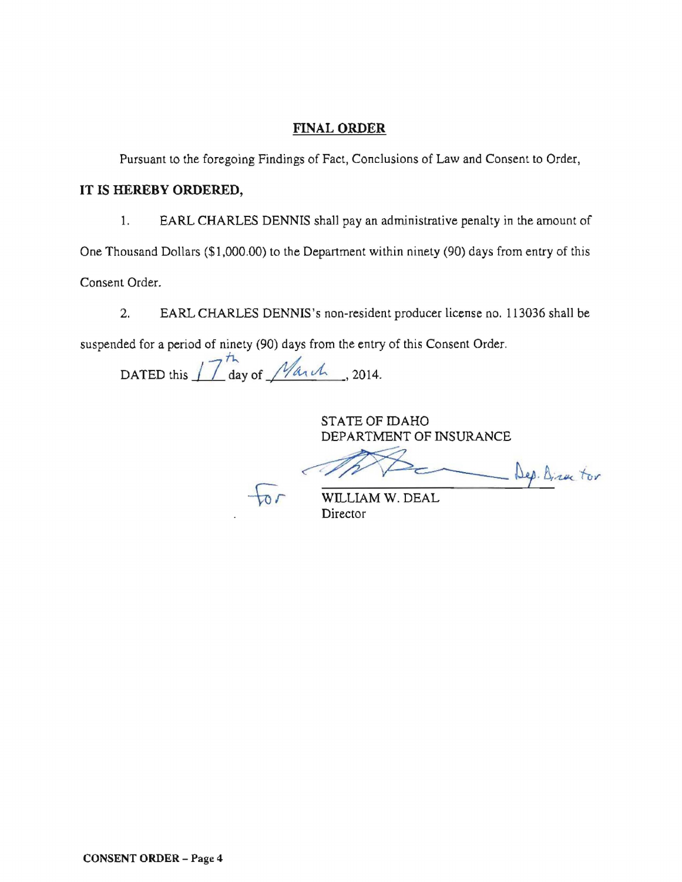# FINAL ORDER

Pursuant to the foregoing Findings of Fact, Conclusions of Law and Consent to Order,

## IT IS HEREBY ORDERED,

1. EARL CHARLES DENNIS shall pay an administrative penalty in the amount of

One Thousand Dollars (\$1,000.00) to the Department within ninety (90) days from entry of this

Consent Order.

2. EARL CHARLES DENNIS's non-resident producer license no. 113036 shall be

suspended for a period of ninety (90) days from the entry of this Consent Order.

DATED this  $17^{th}$  day of *March*, 2014.

STATE OF IDAHO DEPARTMENT OF INSURANCE

WILLIAM W. DEAL Dep. Director

Director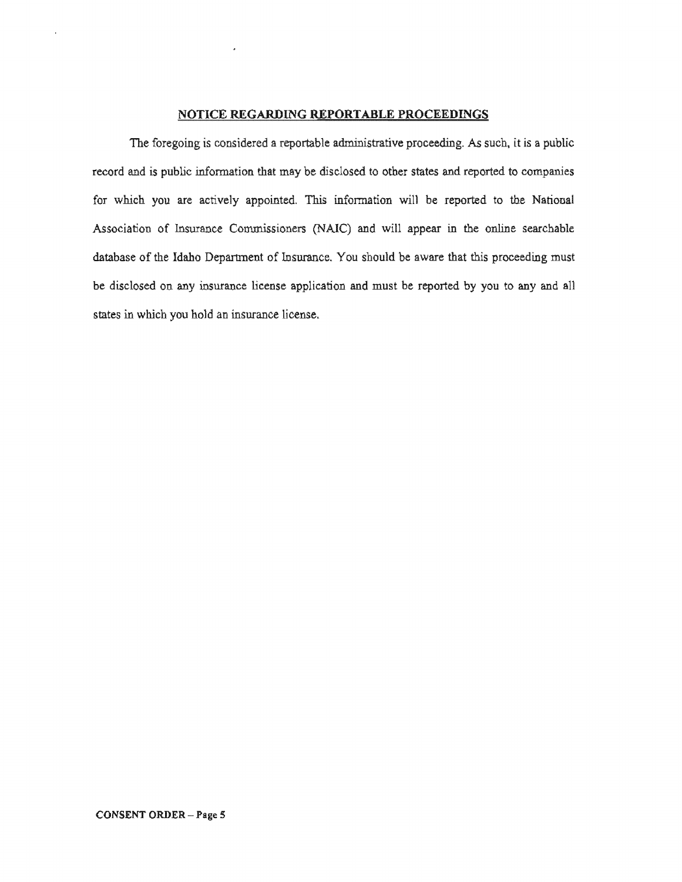## NOTICE REGARDING REPORTABLE PROCEEDINGS

The foregoing is considered a reportable administrative proceeding. As such, it is a public record and is public information that may be disclosed to other states and reported to companies for which you are actively appointed. This information will be reported to the National database You should be aware that this proceeding must be disclosed on any insurance license application and must be reported by you to any and all states in which you hold an Association of Insurance Commissioners (NAIC) and will appear in the online searchable